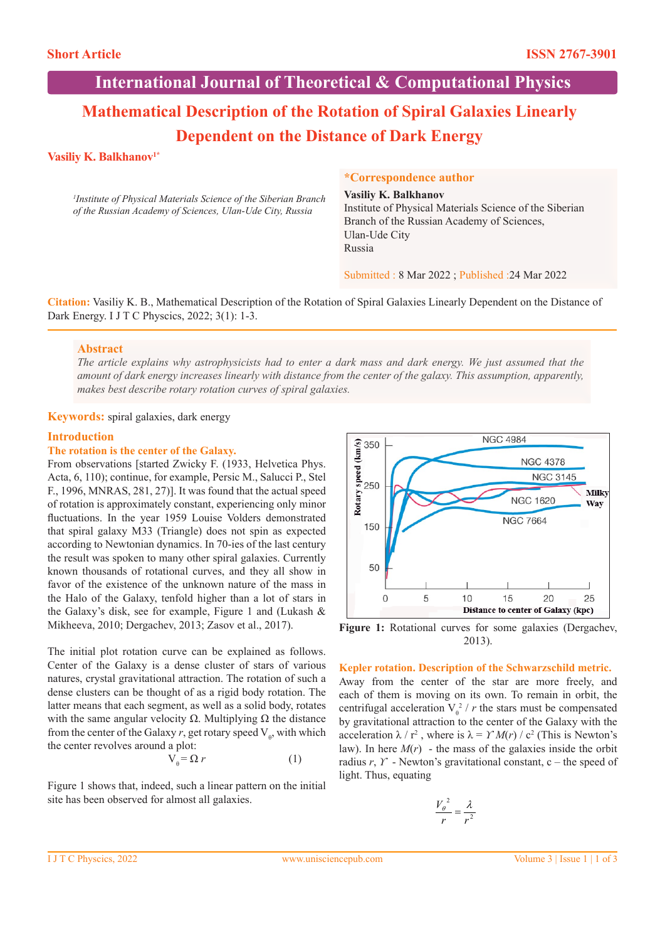**International Journal of Theoretical & Computational Physics**

# **Mathematical Description of the Rotation of Spiral Galaxies Linearly Dependent on the Distance of Dark Energy**

# **Vasiliy K. Balkhanov1\***

*1 Institute of Physical Materials Science of the Siberian Branch of the Russian Academy of Sciences, Ulan-Ude City, Russia* 

## **\*Correspondence author**

**Vasiliy K. Balkhanov** Institute of Physical Materials Science of the Siberian Branch of the Russian Academy of Sciences, Ulan-Ude City Russia

Submitted : 8 Mar 2022 ; Published :24 Mar 2022

**Citation:** Vasiliy K. B., Mathematical Description of the Rotation of Spiral Galaxies Linearly Dependent on the Distance of Dark Energy. I J T C Physcics, 2022; 3(1): 1-3.

# **Abstract**

*The article explains why astrophysicists had to enter a dark mass and dark energy. We just assumed that the amount of dark energy increases linearly with distance from the center of the galaxy. This assumption, apparently, makes best describe rotary rotation curves of spiral galaxies.*

**Keywords:** spiral galaxies, dark energy

# **Introduction**

#### **The rotation is the center of the Galaxy.**

From observations [started Zwicky F. (1933, Helvetica Phys. Acta, 6, 110); continue, for example, Persic M., Salucci P., Stel F., 1996, MNRAS, 281, 27)]. It was found that the actual speed of rotation is approximately constant, experiencing only minor fluctuations. In the year 1959 Louise Volders demonstrated that spiral galaxy M33 (Triangle) does not spin as expected according to Newtonian dynamics. In 70-ies of the last century the result was spoken to many other spiral galaxies. Currently known thousands of rotational curves, and they all show in favor of the existence of the unknown nature of the mass in the Halo of the Galaxy, tenfold higher than a lot of stars in the Galaxy's disk, see for example, Figure 1 and (Lukash & Mikheeva, 2010; Dergachev, 2013; Zasov et al., 2017).

The initial plot rotation curve can be explained as follows. Center of the Galaxy is a dense cluster of stars of various natures, crystal gravitational attraction. The rotation of such a dense clusters can be thought of as a rigid body rotation. The latter means that each segment, as well as a solid body, rotates with the same angular velocity  $\Omega$ . Multiplying  $\Omega$  the distance from the center of the Galaxy  $r$ , get rotary speed  $V_{\theta}$ , with which the center revolves around a plot:

$$
V_{\theta} = \Omega r \tag{1}
$$

Figure 1 shows that, indeed, such a linear pattern on the initial site has been observed for almost all galaxies.



**Figure 1:** Rotational curves for some galaxies (Dergachev, 2013).

#### **Kepler rotation. Description of the Schwarzschild metric.**

Away from the center of the star are more freely, and each of them is moving on its own. To remain in orbit, the centrifugal acceleration  $V_{\theta}^2 / r$  the stars must be compensated by gravitational attraction to the center of the Galaxy with the acceleration  $\lambda / r^2$ , where is  $\lambda = \gamma M(r) / c^2$  (This is Newton's law). In here  $M(r)$  - the mass of the galaxies inside the orbit radius *r*, *ϒ* - Newton's gravitational constant, c – the speed of light. Thus, equating

$$
\frac{V_{\theta}^{2}}{r} = \frac{\lambda}{r^{2}}
$$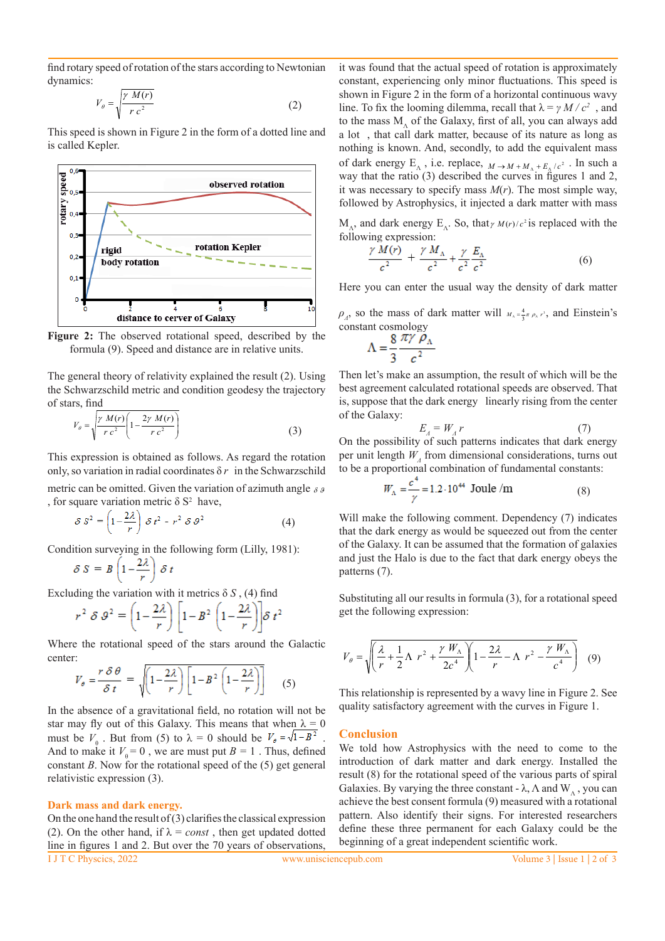find rotary speed of rotation of the stars according to Newtonian dynamics:

$$
V_{\theta} = \sqrt{\frac{\gamma M(r)}{r c^2}}
$$
 (2)

This speed is shown in Figure 2 in the form of a dotted line and is called Kepler.



**Figure 2:** The observed rotational speed, described by the formula (9). Speed and distance are in relative units.

The general theory of relativity explained the result (2). Using the Schwarzschild metric and condition geodesy the trajectory of stars, find

$$
V_{\theta} = \sqrt{\frac{\gamma M(r)}{r c^2} \left(1 - \frac{2\gamma M(r)}{r c^2}\right)}
$$
(3)

This expression is obtained as follows. As regard the rotation only, so variation in radial coordinates  $\delta r$  in the Schwarzschild metric can be omitted. Given the variation of azimuth angle  $\delta \theta$ , for square variation metric  $\delta S^2$  have,

$$
\delta S^2 = \left(1 - \frac{2\lambda}{r}\right) \delta t^2 - r^2 \delta \vartheta^2 \tag{4}
$$

Condition surveying in the following form (Lilly, 1981):

$$
\delta S = B \left( 1 - \frac{2\lambda}{r} \right) \delta t
$$

Excluding the variation with it metrics  $\delta S$ , (4) find

$$
r^2 \delta \vartheta^2 = \left(1 - \frac{2\lambda}{r}\right) \left[1 - B^2 \left(1 - \frac{2\lambda}{r}\right)\right] \delta t^2
$$

Where the rotational speed of the stars around the Galactic center:

$$
V_{\theta} = \frac{r \delta \theta}{\delta t} = \sqrt{\left(1 - \frac{2\lambda}{r}\right) \left[1 - B^2 \left(1 - \frac{2\lambda}{r}\right)\right]}
$$
(5)

In the absence of a gravitational field, no rotation will not be star may fly out of this Galaxy. This means that when  $\lambda = 0$ must be  $V_{\theta}$ . But from (5) to  $\lambda = 0$  should be  $V_{\theta} = \sqrt{1 - B^2}$ . And to make it  $V_{\phi} = 0$ , we are must put  $B = 1$ . Thus, defined constant *В*. Now for the rotational speed of the (5) get general relativistic expression (3).

#### **Dark mass and dark energy.**

I J T C Physcics, 2022 www.unisciencepub.com Volume 3 | Issue 1 | 2 of 3 On the one hand the result of  $(3)$  clarifies the classical expression (2). On the other hand, if  $\lambda = const$ , then get updated dotted line in figures 1 and 2. But over the 70 years of observations,

it was found that the actual speed of rotation is approximately constant, experiencing only minor fluctuations. This speed is shown in Figure 2 in the form of a horizontal continuous wavy line. To fix the looming dilemma, recall that  $\lambda = \gamma M/c^2$ , and to the mass M, of the Galaxy, first of all, you can always add a lot , that call dark matter, because of its nature as long as nothing is known. And, secondly, to add the equivalent mass of dark energy  $E_{\Lambda}$ , i.e. replace,  $M \rightarrow M + M_{\Lambda} + E_{\Lambda}/c^2$ . In such a way that the ratio (3) described the curves in figures 1 and 2, it was necessary to specify mass *M*(*r*). The most simple way, followed by Astrophysics, it injected a dark matter with mass

 $M_A$ , and dark energy  $E_A$ . So, that  $\gamma M(r)/c^2$  is replaced with the following expression:

$$
\frac{\gamma M(r)}{c^2} + \frac{\gamma M_A}{c^2} + \frac{\gamma}{c^2} \frac{E_A}{c^2} \tag{6}
$$

Here you can enter the usual way the density of dark matter

 $\rho_A$ , so the mass of dark matter will  $M_A = \frac{4}{3}\pi \rho_A r^3$ , and Einstein's constant cosmology

$$
\Lambda = \frac{8}{3} \frac{\pi \gamma \rho_{\Lambda}}{c^2}
$$

Then let's make an assumption, the result of which will be the best agreement calculated rotational speeds are observed. That is, suppose that the dark energy linearly rising from the center of the Galaxy:

$$
E_A = W_A r \tag{7}
$$

On the possibility of such patterns indicates that dark energy per unit length *WΛ* from dimensional considerations, turns out to be a proportional combination of fundamental constants:

$$
W_{A} = \frac{c}{\gamma} = 1.2 \cdot 10^{44}
$$
 Joule /m (8)

Will make the following comment. Dependency (7) indicates that the dark energy as would be squeezed out from the center of the Galaxy. It can be assumed that the formation of galaxies and just the Halo is due to the fact that dark energy obeys the patterns (7).

Substituting all our results in formula (3), for a rotational speed get the following expression:

$$
V_{\theta} = \sqrt{\left(\frac{\lambda}{r} + \frac{1}{2}\Lambda r^2 + \frac{\gamma W_{\Lambda}}{2c^4}\right)\left(1 - \frac{2\lambda}{r} - \Lambda r^2 - \frac{\gamma W_{\Lambda}}{c^4}\right)}
$$
(9)

This relationship is represented by a wavy line in Figure 2. See quality satisfactory agreement with the curves in Figure 1.

#### **Conclusion**

We told how Astrophysics with the need to come to the introduction of dark matter and dark energy. Installed the result (8) for the rotational speed of the various parts of spiral Galaxies. By varying the three constant -  $\lambda$ ,  $\Lambda$  and W<sub>,</sub>, you can achieve the best consent formula (9) measured with a rotational pattern. Also identify their signs. For interested researchers define these three permanent for each Galaxy could be the beginning of a great independent scientific work.